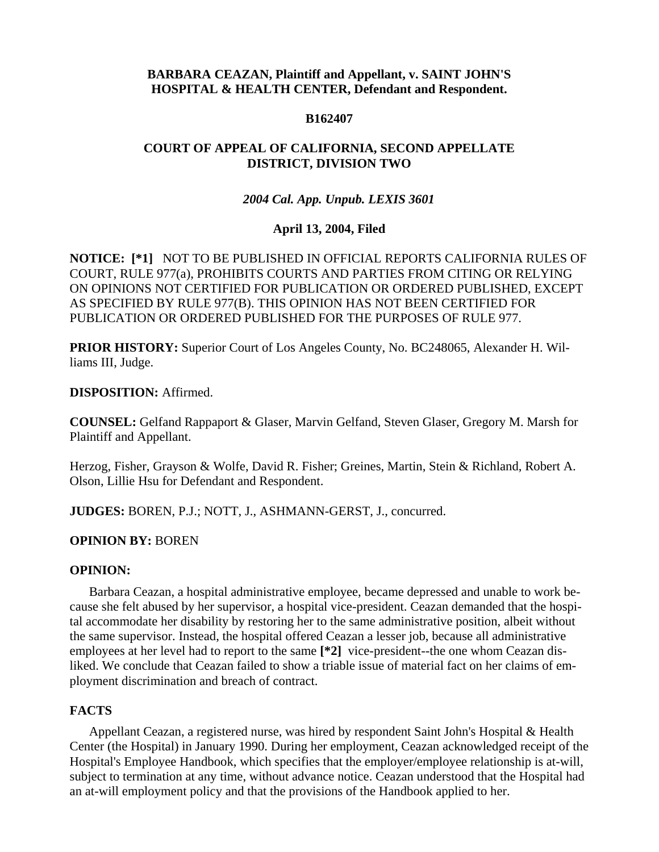# **BARBARA CEAZAN, Plaintiff and Appellant, v. SAINT JOHN'S HOSPITAL & HEALTH CENTER, Defendant and Respondent.**

### **B162407**

# **COURT OF APPEAL OF CALIFORNIA, SECOND APPELLATE DISTRICT, DIVISION TWO**

# *2004 Cal. App. Unpub. LEXIS 3601*

# **April 13, 2004, Filed**

**NOTICE: [\*1]** NOT TO BE PUBLISHED IN OFFICIAL REPORTS CALIFORNIA RULES OF COURT, RULE 977(a), PROHIBITS COURTS AND PARTIES FROM CITING OR RELYING ON OPINIONS NOT CERTIFIED FOR PUBLICATION OR ORDERED PUBLISHED, EXCEPT AS SPECIFIED BY RULE 977(B). THIS OPINION HAS NOT BEEN CERTIFIED FOR PUBLICATION OR ORDERED PUBLISHED FOR THE PURPOSES OF RULE 977.

**PRIOR HISTORY:** Superior Court of Los Angeles County, No. BC248065, Alexander H. Williams III, Judge.

**DISPOSITION:** Affirmed.

**COUNSEL:** Gelfand Rappaport & Glaser, Marvin Gelfand, Steven Glaser, Gregory M. Marsh for Plaintiff and Appellant.

Herzog, Fisher, Grayson & Wolfe, David R. Fisher; Greines, Martin, Stein & Richland, Robert A. Olson, Lillie Hsu for Defendant and Respondent.

**JUDGES:** BOREN, P.J.; NOTT, J., ASHMANN-GERST, J., concurred.

# **OPINION BY:** BOREN

### **OPINION:**

Barbara Ceazan, a hospital administrative employee, became depressed and unable to work because she felt abused by her supervisor, a hospital vice-president. Ceazan demanded that the hospital accommodate her disability by restoring her to the same administrative position, albeit without the same supervisor. Instead, the hospital offered Ceazan a lesser job, because all administrative employees at her level had to report to the same **[\*2]** vice-president--the one whom Ceazan disliked. We conclude that Ceazan failed to show a triable issue of material fact on her claims of employment discrimination and breach of contract.

# **FACTS**

Appellant Ceazan, a registered nurse, was hired by respondent Saint John's Hospital & Health Center (the Hospital) in January 1990. During her employment, Ceazan acknowledged receipt of the Hospital's Employee Handbook, which specifies that the employer/employee relationship is at-will, subject to termination at any time, without advance notice. Ceazan understood that the Hospital had an at-will employment policy and that the provisions of the Handbook applied to her.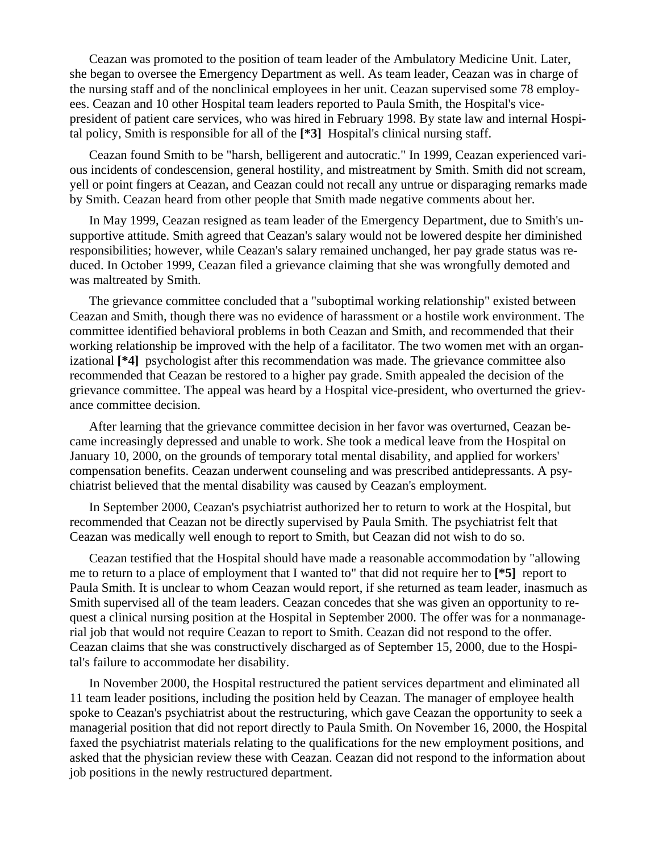Ceazan was promoted to the position of team leader of the Ambulatory Medicine Unit. Later, she began to oversee the Emergency Department as well. As team leader, Ceazan was in charge of the nursing staff and of the nonclinical employees in her unit. Ceazan supervised some 78 employees. Ceazan and 10 other Hospital team leaders reported to Paula Smith, the Hospital's vicepresident of patient care services, who was hired in February 1998. By state law and internal Hospital policy, Smith is responsible for all of the **[\*3]** Hospital's clinical nursing staff.

Ceazan found Smith to be "harsh, belligerent and autocratic." In 1999, Ceazan experienced various incidents of condescension, general hostility, and mistreatment by Smith. Smith did not scream, yell or point fingers at Ceazan, and Ceazan could not recall any untrue or disparaging remarks made by Smith. Ceazan heard from other people that Smith made negative comments about her.

In May 1999, Ceazan resigned as team leader of the Emergency Department, due to Smith's unsupportive attitude. Smith agreed that Ceazan's salary would not be lowered despite her diminished responsibilities; however, while Ceazan's salary remained unchanged, her pay grade status was reduced. In October 1999, Ceazan filed a grievance claiming that she was wrongfully demoted and was maltreated by Smith.

The grievance committee concluded that a "suboptimal working relationship" existed between Ceazan and Smith, though there was no evidence of harassment or a hostile work environment. The committee identified behavioral problems in both Ceazan and Smith, and recommended that their working relationship be improved with the help of a facilitator. The two women met with an organizational **[\*4]** psychologist after this recommendation was made. The grievance committee also recommended that Ceazan be restored to a higher pay grade. Smith appealed the decision of the grievance committee. The appeal was heard by a Hospital vice-president, who overturned the grievance committee decision.

After learning that the grievance committee decision in her favor was overturned, Ceazan became increasingly depressed and unable to work. She took a medical leave from the Hospital on January 10, 2000, on the grounds of temporary total mental disability, and applied for workers' compensation benefits. Ceazan underwent counseling and was prescribed antidepressants. A psychiatrist believed that the mental disability was caused by Ceazan's employment.

In September 2000, Ceazan's psychiatrist authorized her to return to work at the Hospital, but recommended that Ceazan not be directly supervised by Paula Smith. The psychiatrist felt that Ceazan was medically well enough to report to Smith, but Ceazan did not wish to do so.

Ceazan testified that the Hospital should have made a reasonable accommodation by "allowing me to return to a place of employment that I wanted to" that did not require her to **[\*5]** report to Paula Smith. It is unclear to whom Ceazan would report, if she returned as team leader, inasmuch as Smith supervised all of the team leaders. Ceazan concedes that she was given an opportunity to request a clinical nursing position at the Hospital in September 2000. The offer was for a nonmanagerial job that would not require Ceazan to report to Smith. Ceazan did not respond to the offer. Ceazan claims that she was constructively discharged as of September 15, 2000, due to the Hospital's failure to accommodate her disability.

In November 2000, the Hospital restructured the patient services department and eliminated all 11 team leader positions, including the position held by Ceazan. The manager of employee health spoke to Ceazan's psychiatrist about the restructuring, which gave Ceazan the opportunity to seek a managerial position that did not report directly to Paula Smith. On November 16, 2000, the Hospital faxed the psychiatrist materials relating to the qualifications for the new employment positions, and asked that the physician review these with Ceazan. Ceazan did not respond to the information about job positions in the newly restructured department.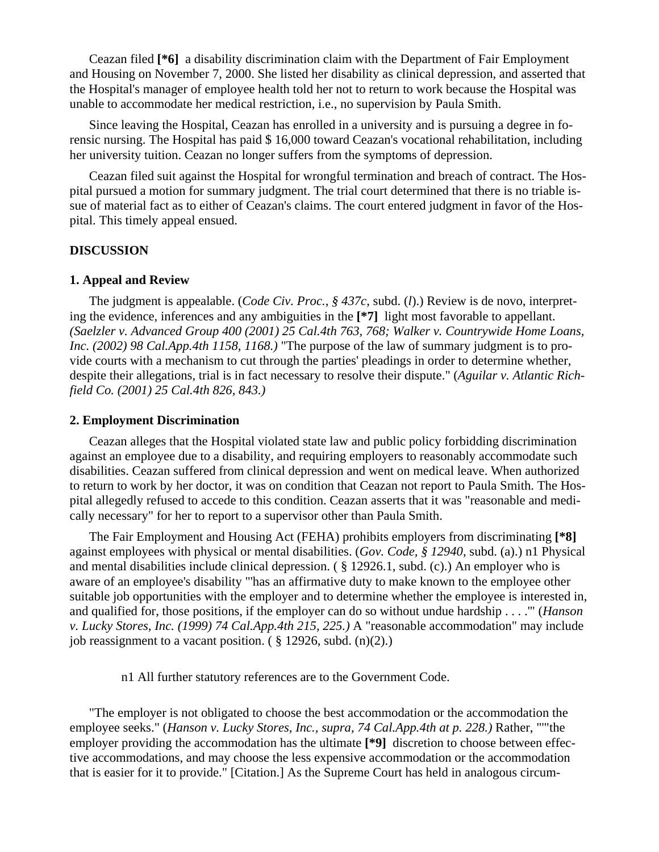Ceazan filed **[\*6]** a disability discrimination claim with the Department of Fair Employment and Housing on November 7, 2000. She listed her disability as clinical depression, and asserted that the Hospital's manager of employee health told her not to return to work because the Hospital was unable to accommodate her medical restriction, i.e., no supervision by Paula Smith.

Since leaving the Hospital, Ceazan has enrolled in a university and is pursuing a degree in forensic nursing. The Hospital has paid \$ 16,000 toward Ceazan's vocational rehabilitation, including her university tuition. Ceazan no longer suffers from the symptoms of depression.

Ceazan filed suit against the Hospital for wrongful termination and breach of contract. The Hospital pursued a motion for summary judgment. The trial court determined that there is no triable issue of material fact as to either of Ceazan's claims. The court entered judgment in favor of the Hospital. This timely appeal ensued.

#### **DISCUSSION**

#### **1. Appeal and Review**

The judgment is appealable. (*Code Civ. Proc., § 437c*, subd. (*l*).) Review is de novo, interpreting the evidence, inferences and any ambiguities in the **[\*7]** light most favorable to appellant. *(Saelzler v. Advanced Group 400 (2001) 25 Cal.4th 763, 768; Walker v. Countrywide Home Loans, Inc. (2002) 98 Cal.App.4th 1158, 1168.)* "The purpose of the law of summary judgment is to provide courts with a mechanism to cut through the parties' pleadings in order to determine whether, despite their allegations, trial is in fact necessary to resolve their dispute." (*Aguilar v. Atlantic Richfield Co. (2001) 25 Cal.4th 826, 843.)*

#### **2. Employment Discrimination**

Ceazan alleges that the Hospital violated state law and public policy forbidding discrimination against an employee due to a disability, and requiring employers to reasonably accommodate such disabilities. Ceazan suffered from clinical depression and went on medical leave. When authorized to return to work by her doctor, it was on condition that Ceazan not report to Paula Smith. The Hospital allegedly refused to accede to this condition. Ceazan asserts that it was "reasonable and medically necessary" for her to report to a supervisor other than Paula Smith.

The Fair Employment and Housing Act (FEHA) prohibits employers from discriminating **[\*8]** against employees with physical or mental disabilities. (*Gov. Code, § 12940*, subd. (a).) n1 Physical and mental disabilities include clinical depression. ( § 12926.1, subd. (c).) An employer who is aware of an employee's disability "'has an affirmative duty to make known to the employee other suitable job opportunities with the employer and to determine whether the employee is interested in, and qualified for, those positions, if the employer can do so without undue hardship . . . .'" (*Hanson v. Lucky Stores, Inc. (1999) 74 Cal.App.4th 215, 225.)* A "reasonable accommodation" may include job reassignment to a vacant position.  $(\S 12926, \text{subd.} (n)(2))$ .

n1 All further statutory references are to the Government Code.

"The employer is not obligated to choose the best accommodation or the accommodation the employee seeks." (*Hanson v. Lucky Stores, Inc., supra, 74 Cal.App.4th at p. 228.)* Rather, "'"the employer providing the accommodation has the ultimate **[\*9]** discretion to choose between effective accommodations, and may choose the less expensive accommodation or the accommodation that is easier for it to provide." [Citation.] As the Supreme Court has held in analogous circum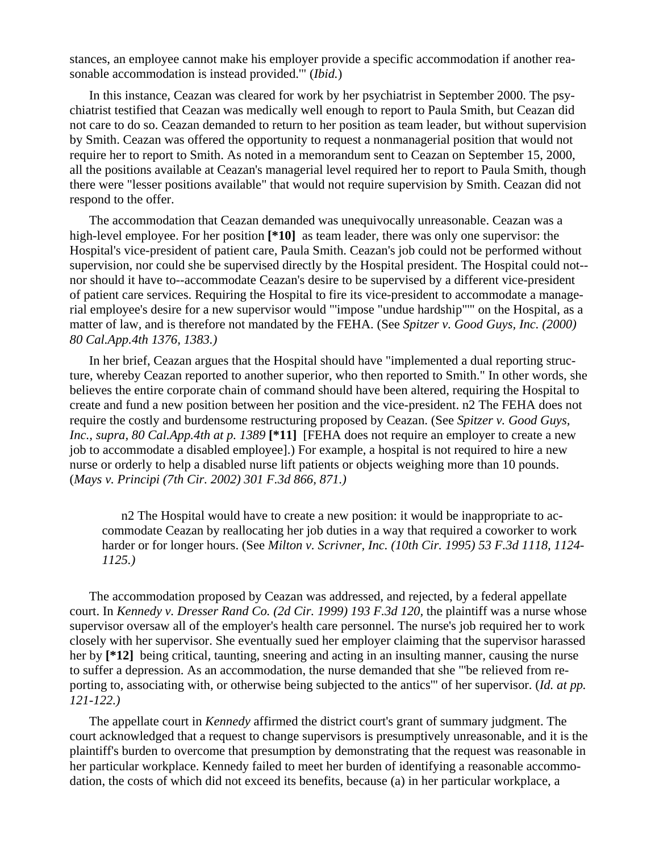stances, an employee cannot make his employer provide a specific accommodation if another reasonable accommodation is instead provided.'" (*Ibid.*)

In this instance, Ceazan was cleared for work by her psychiatrist in September 2000. The psychiatrist testified that Ceazan was medically well enough to report to Paula Smith, but Ceazan did not care to do so. Ceazan demanded to return to her position as team leader, but without supervision by Smith. Ceazan was offered the opportunity to request a nonmanagerial position that would not require her to report to Smith. As noted in a memorandum sent to Ceazan on September 15, 2000, all the positions available at Ceazan's managerial level required her to report to Paula Smith, though there were "lesser positions available" that would not require supervision by Smith. Ceazan did not respond to the offer.

The accommodation that Ceazan demanded was unequivocally unreasonable. Ceazan was a high-level employee. For her position **[\*10]** as team leader, there was only one supervisor: the Hospital's vice-president of patient care, Paula Smith. Ceazan's job could not be performed without supervision, nor could she be supervised directly by the Hospital president. The Hospital could not- nor should it have to--accommodate Ceazan's desire to be supervised by a different vice-president of patient care services. Requiring the Hospital to fire its vice-president to accommodate a managerial employee's desire for a new supervisor would "'impose "undue hardship"'" on the Hospital, as a matter of law, and is therefore not mandated by the FEHA. (See *Spitzer v. Good Guys, Inc. (2000) 80 Cal.App.4th 1376, 1383.)*

In her brief, Ceazan argues that the Hospital should have "implemented a dual reporting structure, whereby Ceazan reported to another superior, who then reported to Smith." In other words, she believes the entire corporate chain of command should have been altered, requiring the Hospital to create and fund a new position between her position and the vice-president. n2 The FEHA does not require the costly and burdensome restructuring proposed by Ceazan. (See *Spitzer v. Good Guys, Inc., supra, 80 Cal.App.4th at p. 1389* [\*11] [FEHA does not require an employer to create a new job to accommodate a disabled employee].) For example, a hospital is not required to hire a new nurse or orderly to help a disabled nurse lift patients or objects weighing more than 10 pounds. (*Mays v. Principi (7th Cir. 2002) 301 F.3d 866, 871.)*

n2 The Hospital would have to create a new position: it would be inappropriate to accommodate Ceazan by reallocating her job duties in a way that required a coworker to work harder or for longer hours. (See *Milton v. Scrivner, Inc. (10th Cir. 1995) 53 F.3d 1118, 1124- 1125.)*

The accommodation proposed by Ceazan was addressed, and rejected, by a federal appellate court. In *Kennedy v. Dresser Rand Co. (2d Cir. 1999) 193 F.3d 120,* the plaintiff was a nurse whose supervisor oversaw all of the employer's health care personnel. The nurse's job required her to work closely with her supervisor. She eventually sued her employer claiming that the supervisor harassed her by  $[*12]$  being critical, taunting, sneering and acting in an insulting manner, causing the nurse to suffer a depression. As an accommodation, the nurse demanded that she "'be relieved from reporting to, associating with, or otherwise being subjected to the antics'" of her supervisor. (*Id. at pp. 121-122.)*

The appellate court in *Kennedy* affirmed the district court's grant of summary judgment. The court acknowledged that a request to change supervisors is presumptively unreasonable, and it is the plaintiff's burden to overcome that presumption by demonstrating that the request was reasonable in her particular workplace. Kennedy failed to meet her burden of identifying a reasonable accommodation, the costs of which did not exceed its benefits, because (a) in her particular workplace, a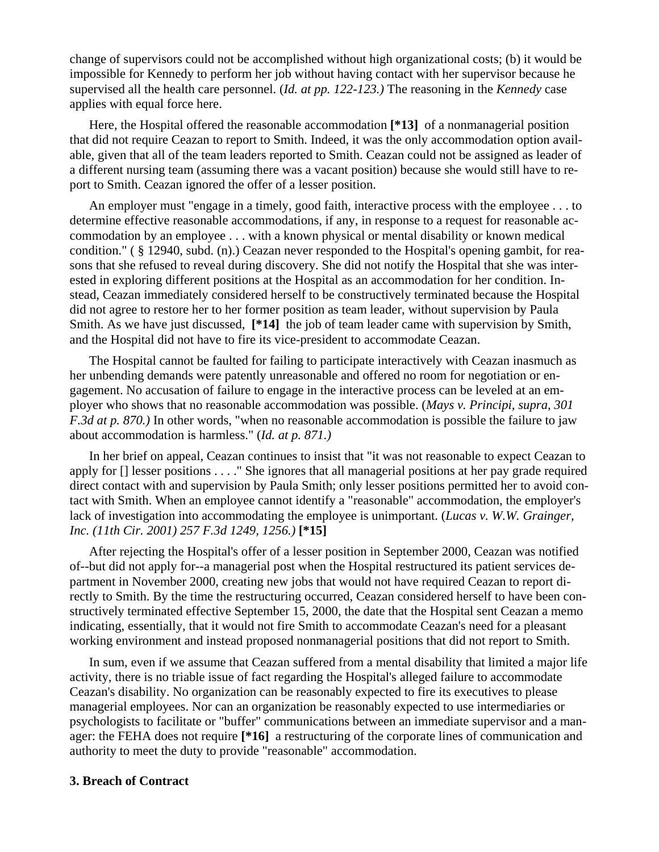change of supervisors could not be accomplished without high organizational costs; (b) it would be impossible for Kennedy to perform her job without having contact with her supervisor because he supervised all the health care personnel. (*Id. at pp. 122-123.)* The reasoning in the *Kennedy* case applies with equal force here.

Here, the Hospital offered the reasonable accommodation **[\*13]** of a nonmanagerial position that did not require Ceazan to report to Smith. Indeed, it was the only accommodation option available, given that all of the team leaders reported to Smith. Ceazan could not be assigned as leader of a different nursing team (assuming there was a vacant position) because she would still have to report to Smith. Ceazan ignored the offer of a lesser position.

An employer must "engage in a timely, good faith, interactive process with the employee . . . to determine effective reasonable accommodations, if any, in response to a request for reasonable accommodation by an employee . . . with a known physical or mental disability or known medical condition." ( § 12940, subd. (n).) Ceazan never responded to the Hospital's opening gambit, for reasons that she refused to reveal during discovery. She did not notify the Hospital that she was interested in exploring different positions at the Hospital as an accommodation for her condition. Instead, Ceazan immediately considered herself to be constructively terminated because the Hospital did not agree to restore her to her former position as team leader, without supervision by Paula Smith. As we have just discussed, **[\*14]** the job of team leader came with supervision by Smith, and the Hospital did not have to fire its vice-president to accommodate Ceazan.

The Hospital cannot be faulted for failing to participate interactively with Ceazan inasmuch as her unbending demands were patently unreasonable and offered no room for negotiation or engagement. No accusation of failure to engage in the interactive process can be leveled at an employer who shows that no reasonable accommodation was possible. (*Mays v. Principi, supra, 301 F.3d at p. 870.)* In other words, "when no reasonable accommodation is possible the failure to jaw about accommodation is harmless." (*Id. at p. 871.)*

In her brief on appeal, Ceazan continues to insist that "it was not reasonable to expect Ceazan to apply for [] lesser positions . . . ." She ignores that all managerial positions at her pay grade required direct contact with and supervision by Paula Smith; only lesser positions permitted her to avoid contact with Smith. When an employee cannot identify a "reasonable" accommodation, the employer's lack of investigation into accommodating the employee is unimportant. (*Lucas v. W.W. Grainger, Inc. (11th Cir. 2001) 257 F.3d 1249, 1256.)* **[\*15]**

After rejecting the Hospital's offer of a lesser position in September 2000, Ceazan was notified of--but did not apply for--a managerial post when the Hospital restructured its patient services department in November 2000, creating new jobs that would not have required Ceazan to report directly to Smith. By the time the restructuring occurred, Ceazan considered herself to have been constructively terminated effective September 15, 2000, the date that the Hospital sent Ceazan a memo indicating, essentially, that it would not fire Smith to accommodate Ceazan's need for a pleasant working environment and instead proposed nonmanagerial positions that did not report to Smith.

In sum, even if we assume that Ceazan suffered from a mental disability that limited a major life activity, there is no triable issue of fact regarding the Hospital's alleged failure to accommodate Ceazan's disability. No organization can be reasonably expected to fire its executives to please managerial employees. Nor can an organization be reasonably expected to use intermediaries or psychologists to facilitate or "buffer" communications between an immediate supervisor and a manager: the FEHA does not require **[\*16]** a restructuring of the corporate lines of communication and authority to meet the duty to provide "reasonable" accommodation.

### **3. Breach of Contract**